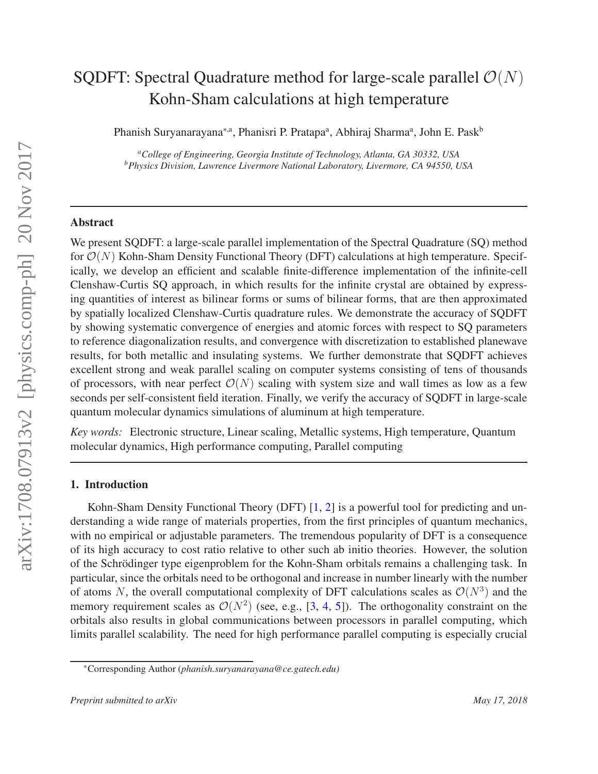# arXiv:1708.07913v2 [physics.comp-ph] 20 Nov 2017 arXiv:1708.07913v2 [physics.comp-ph] 20 Nov 2017

# SQDFT: Spectral Quadrature method for large-scale parallel  $\mathcal{O}(N)$ Kohn-Sham calculations at high temperature

Phanish Suryanarayana<sup>∗,a</sup>, Phanisri P. Pratapa<sup>a</sup>, Abhiraj Sharma<sup>a</sup>, John E. Pask<sup>b</sup>

*<sup>a</sup>College of Engineering, Georgia Institute of Technology, Atlanta, GA 30332, USA <sup>b</sup>Physics Division, Lawrence Livermore National Laboratory, Livermore, CA 94550, USA*

# Abstract

We present SQDFT: a large-scale parallel implementation of the Spectral Quadrature (SQ) method for  $\mathcal{O}(N)$  Kohn-Sham Density Functional Theory (DFT) calculations at high temperature. Specifically, we develop an efficient and scalable finite-difference implementation of the infinite-cell Clenshaw-Curtis SQ approach, in which results for the infinite crystal are obtained by expressing quantities of interest as bilinear forms or sums of bilinear forms, that are then approximated by spatially localized Clenshaw-Curtis quadrature rules. We demonstrate the accuracy of SQDFT by showing systematic convergence of energies and atomic forces with respect to SQ parameters to reference diagonalization results, and convergence with discretization to established planewave results, for both metallic and insulating systems. We further demonstrate that SQDFT achieves excellent strong and weak parallel scaling on computer systems consisting of tens of thousands of processors, with near perfect  $\mathcal{O}(N)$  scaling with system size and wall times as low as a few seconds per self-consistent field iteration. Finally, we verify the accuracy of SQDFT in large-scale quantum molecular dynamics simulations of aluminum at high temperature.

*Key words:* Electronic structure, Linear scaling, Metallic systems, High temperature, Quantum molecular dynamics, High performance computing, Parallel computing

# 1. Introduction

Kohn-Sham Density Functional Theory (DFT) [1, 2] is a powerful tool for predicting and understanding a wide range of materials properties, from the first principles of quantum mechanics, with no empirical or adjustable parameters. The tremendous popularity of DFT is a consequence of its high accuracy to cost ratio relative to other such ab initio theories. However, the solution of the Schrödinger type eigenproblem for the Kohn-Sham orbitals remains a challenging task. In particular, since the orbitals need to be orthogonal and increase in number linearly with the number of atoms N, the overall computational complexity of DFT calculations scales as  $\mathcal{O}(N^3)$  and the memory requirement scales as  $\mathcal{O}(N^2)$  (see, e.g., [3, 4, 5]). The orthogonality constraint on the orbitals also results in global communications between processors in parallel computing, which limits parallel scalability. The need for high performance parallel computing is especially crucial

<sup>∗</sup>Corresponding Author (*phanish.suryanarayana@ce.gatech.edu)*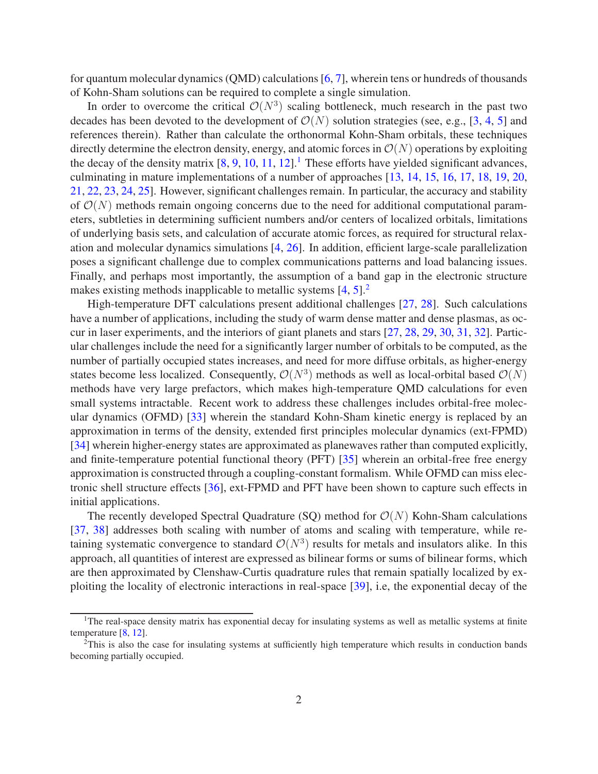for quantum molecular dynamics (QMD) calculations [6, 7], wherein tens or hundreds of thousands of Kohn-Sham solutions can be required to complete a single simulation.

In order to overcome the critical  $\mathcal{O}(N^3)$  scaling bottleneck, much research in the past two decades has been devoted to the development of  $\mathcal{O}(N)$  solution strategies (see, e.g., [3, 4, 5] and references therein). Rather than calculate the orthonormal Kohn-Sham orbitals, these techniques directly determine the electron density, energy, and atomic forces in  $\mathcal{O}(N)$  operations by exploiting the decay of the density matrix  $[8, 9, 10, 11, 12]$ .<sup>1</sup> These efforts have yielded significant advances, culminating in mature implementations of a number of approaches [13, 14, 15, 16, 17, 18, 19, 20, 21, 22, 23, 24, 25]. However, significant challenges remain. In particular, the accuracy and stability of  $\mathcal{O}(N)$  methods remain ongoing concerns due to the need for additional computational parameters, subtleties in determining sufficient numbers and/or centers of localized orbitals, limitations of underlying basis sets, and calculation of accurate atomic forces, as required for structural relaxation and molecular dynamics simulations [4, 26]. In addition, efficient large-scale parallelization poses a significant challenge due to complex communications patterns and load balancing issues. Finally, and perhaps most importantly, the assumption of a band gap in the electronic structure makes existing methods inapplicable to metallic systems  $[4, 5]$ <sup>2</sup>

High-temperature DFT calculations present additional challenges [27, 28]. Such calculations have a number of applications, including the study of warm dense matter and dense plasmas, as occur in laser experiments, and the interiors of giant planets and stars [27, 28, 29, 30, 31, 32]. Particular challenges include the need for a significantly larger number of orbitals to be computed, as the number of partially occupied states increases, and need for more diffuse orbitals, as higher-energy states become less localized. Consequently,  $\mathcal{O}(N^3)$  methods as well as local-orbital based  $\mathcal{O}(N)$ methods have very large prefactors, which makes high-temperature QMD calculations for even small systems intractable. Recent work to address these challenges includes orbital-free molecular dynamics (OFMD) [33] wherein the standard Kohn-Sham kinetic energy is replaced by an approximation in terms of the density, extended first principles molecular dynamics (ext-FPMD) [34] wherein higher-energy states are approximated as planewaves rather than computed explicitly, and finite-temperature potential functional theory (PFT) [35] wherein an orbital-free free energy approximation is constructed through a coupling-constant formalism. While OFMD can miss electronic shell structure effects [36], ext-FPMD and PFT have been shown to capture such effects in initial applications.

The recently developed Spectral Quadrature (SQ) method for  $\mathcal{O}(N)$  Kohn-Sham calculations [37, 38] addresses both scaling with number of atoms and scaling with temperature, while retaining systematic convergence to standard  $\mathcal{O}(N^3)$  results for metals and insulators alike. In this approach, all quantities of interest are expressed as bilinear forms or sums of bilinear forms, which are then approximated by Clenshaw-Curtis quadrature rules that remain spatially localized by exploiting the locality of electronic interactions in real-space [39], i.e, the exponential decay of the

<sup>&</sup>lt;sup>1</sup>The real-space density matrix has exponential decay for insulating systems as well as metallic systems at finite temperature [8, 12].

<sup>&</sup>lt;sup>2</sup>This is also the case for insulating systems at sufficiently high temperature which results in conduction bands becoming partially occupied.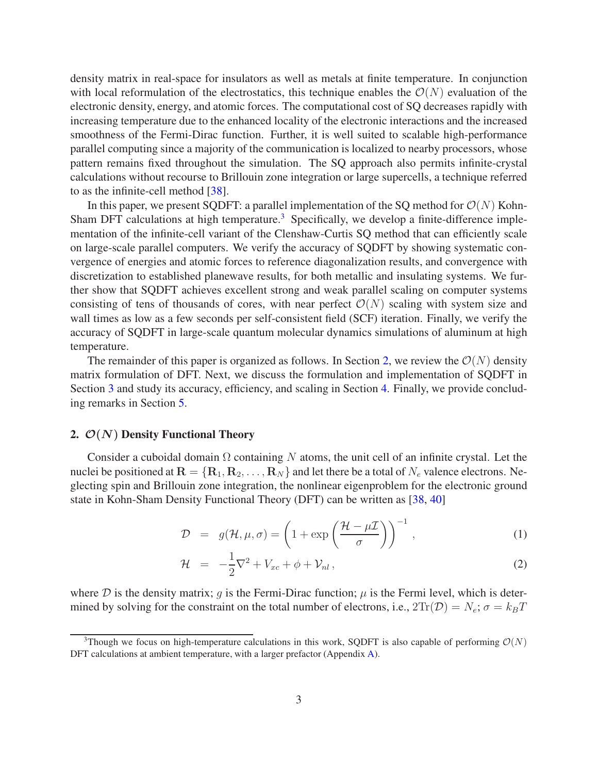density matrix in real-space for insulators as well as metals at finite temperature. In conjunction with local reformulation of the electrostatics, this technique enables the  $\mathcal{O}(N)$  evaluation of the electronic density, energy, and atomic forces. The computational cost of SQ decreases rapidly with increasing temperature due to the enhanced locality of the electronic interactions and the increased smoothness of the Fermi-Dirac function. Further, it is well suited to scalable high-performance parallel computing since a majority of the communication is localized to nearby processors, whose pattern remains fixed throughout the simulation. The SQ approach also permits infinite-crystal calculations without recourse to Brillouin zone integration or large supercells, a technique referred to as the infinite-cell method [38].

In this paper, we present SQDFT: a parallel implementation of the SQ method for  $\mathcal{O}(N)$  Kohn-Sham DFT calculations at high temperature.<sup>3</sup> Specifically, we develop a finite-difference implementation of the infinite-cell variant of the Clenshaw-Curtis SQ method that can efficiently scale on large-scale parallel computers. We verify the accuracy of SQDFT by showing systematic convergence of energies and atomic forces to reference diagonalization results, and convergence with discretization to established planewave results, for both metallic and insulating systems. We further show that SQDFT achieves excellent strong and weak parallel scaling on computer systems consisting of tens of thousands of cores, with near perfect  $\mathcal{O}(N)$  scaling with system size and wall times as low as a few seconds per self-consistent field (SCF) iteration. Finally, we verify the accuracy of SQDFT in large-scale quantum molecular dynamics simulations of aluminum at high temperature.

The remainder of this paper is organized as follows. In Section 2, we review the  $\mathcal{O}(N)$  density matrix formulation of DFT. Next, we discuss the formulation and implementation of SQDFT in Section 3 and study its accuracy, efficiency, and scaling in Section 4. Finally, we provide concluding remarks in Section 5.

# 2.  $\mathcal{O}(N)$  Density Functional Theory

Consider a cuboidal domain  $\Omega$  containing N atoms, the unit cell of an infinite crystal. Let the nuclei be positioned at  $\mathbf{R} = \{\mathbf{R}_1, \mathbf{R}_2, \dots, \mathbf{R}_N\}$  and let there be a total of  $N_e$  valence electrons. Neglecting spin and Brillouin zone integration, the nonlinear eigenproblem for the electronic ground state in Kohn-Sham Density Functional Theory (DFT) can be written as [38, 40]

$$
\mathcal{D} = g(\mathcal{H}, \mu, \sigma) = \left(1 + \exp\left(\frac{\mathcal{H} - \mu \mathcal{I}}{\sigma}\right)\right)^{-1},\tag{1}
$$

$$
\mathcal{H} = -\frac{1}{2}\nabla^2 + V_{xc} + \phi + \mathcal{V}_{nl} \,, \tag{2}
$$

where D is the density matrix; q is the Fermi-Dirac function;  $\mu$  is the Fermi level, which is determined by solving for the constraint on the total number of electrons, i.e.,  $2\text{Tr}(\mathcal{D}) = N_e$ ;  $\sigma = k_B T$ 

<sup>&</sup>lt;sup>3</sup>Though we focus on high-temperature calculations in this work, SODFT is also capable of performing  $\mathcal{O}(N)$ DFT calculations at ambient temperature, with a larger prefactor (Appendix A).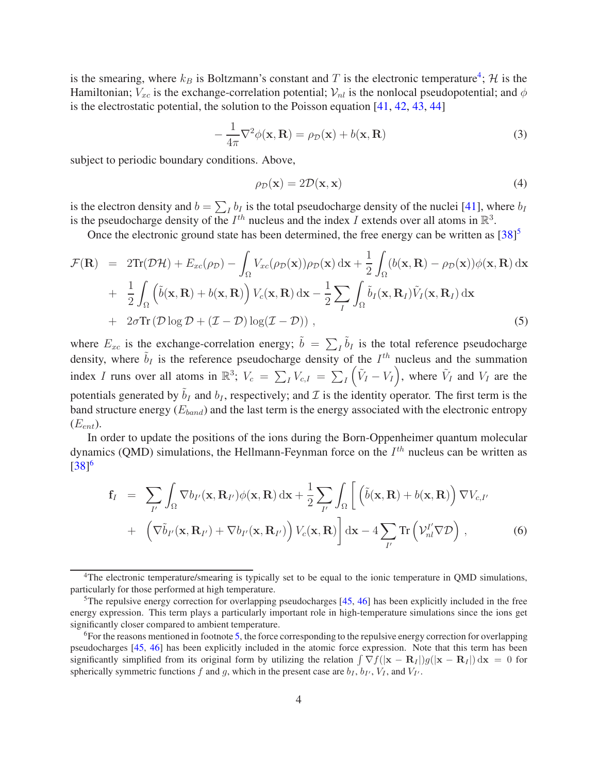is the smearing, where  $k_B$  is Boltzmann's constant and T is the electronic temperature<sup>4</sup>; H is the Hamiltonian;  $V_{xc}$  is the exchange-correlation potential;  $V_{nl}$  is the nonlocal pseudopotential; and  $\phi$ is the electrostatic potential, the solution to the Poisson equation [41, 42, 43, 44]

$$
-\frac{1}{4\pi}\nabla^2\phi(\mathbf{x}, \mathbf{R}) = \rho_{\mathcal{D}}(\mathbf{x}) + b(\mathbf{x}, \mathbf{R})
$$
\n(3)

subject to periodic boundary conditions. Above,

$$
\rho_{\mathcal{D}}(\mathbf{x}) = 2\mathcal{D}(\mathbf{x}, \mathbf{x})\tag{4}
$$

is the electron density and  $b = \sum_I b_I$  is the total pseudocharge density of the nuclei [41], where  $b_I$ is the pseudocharge density of the  $I^{th}$  nucleus and the index I extends over all atoms in  $\mathbb{R}^3$ .

Once the electronic ground state has been determined, the free energy can be written as  $[38]^{5}$ 

$$
\mathcal{F}(\mathbf{R}) = 2\text{Tr}(\mathcal{D}\mathcal{H}) + E_{xc}(\rho_{D}) - \int_{\Omega} V_{xc}(\rho_{D}(\mathbf{x}))\rho_{D}(\mathbf{x}) d\mathbf{x} + \frac{1}{2} \int_{\Omega} (b(\mathbf{x}, \mathbf{R}) - \rho_{D}(\mathbf{x}))\phi(\mathbf{x}, \mathbf{R}) d\mathbf{x} + \frac{1}{2} \int_{\Omega} (\tilde{b}(\mathbf{x}, \mathbf{R}) + b(\mathbf{x}, \mathbf{R})) V_{c}(\mathbf{x}, \mathbf{R}) d\mathbf{x} - \frac{1}{2} \sum_{I} \int_{\Omega} \tilde{b}_{I}(\mathbf{x}, \mathbf{R}_{I}) \tilde{V}_{I}(\mathbf{x}, \mathbf{R}_{I}) d\mathbf{x} + 2\sigma \text{Tr}(\mathcal{D}\log\mathcal{D} + (\mathcal{I} - \mathcal{D}) \log(\mathcal{I} - \mathcal{D})),
$$
\n(5)

where  $E_{xc}$  is the exchange-correlation energy;  $\tilde{b} = \sum_{I} \tilde{b}_{I}$  is the total reference pseudocharge density, where  $\tilde{b}_I$  is the reference pseudocharge density of the  $I^{th}$  nucleus and the summation index I runs over all atoms in  $\mathbb{R}^3$ ;  $V_c = \sum_I V_{c,I} = \sum_I (\tilde{V}_I - V_I)$ , where  $\tilde{V}_I$  and  $V_I$  are the potentials generated by  $\tilde{b}_I$  and  $b_I$ , respectively; and  $I$  is the identity operator. The first term is the band structure energy  $(E_{band})$  and the last term is the energy associated with the electronic entropy  $(E_{ent})$ .

In order to update the positions of the ions during the Born-Oppenheimer quantum molecular dynamics (QMD) simulations, the Hellmann-Feynman force on the  $I^{th}$  nucleus can be written as  $[38]^{6}$ 

$$
\mathbf{f}_{I} = \sum_{I'} \int_{\Omega} \nabla b_{I'}(\mathbf{x}, \mathbf{R}_{I'}) \phi(\mathbf{x}, \mathbf{R}) d\mathbf{x} + \frac{1}{2} \sum_{I'} \int_{\Omega} \left[ \left( \tilde{b}(\mathbf{x}, \mathbf{R}) + b(\mathbf{x}, \mathbf{R}) \right) \nabla V_{c,I'} + \left( \nabla \tilde{b}_{I'}(\mathbf{x}, \mathbf{R}_{I'}) + \nabla b_{I'}(\mathbf{x}, \mathbf{R}_{I'}) \right) V_{c}(\mathbf{x}, \mathbf{R}) \right] d\mathbf{x} - 4 \sum_{I'} \text{Tr} \left( \mathcal{V}_{nl}^{I'} \nabla \mathcal{D} \right), \tag{6}
$$

<sup>4</sup>The electronic temperature/smearing is typically set to be equal to the ionic temperature in QMD simulations, particularly for those performed at high temperature.

<sup>&</sup>lt;sup>5</sup>The repulsive energy correction for overlapping pseudocharges [45, 46] has been explicitly included in the free energy expression. This term plays a particularly important role in high-temperature simulations since the ions get significantly closer compared to ambient temperature.

 $6$ For the reasons mentioned in footnote 5, the force corresponding to the repulsive energy correction for overlapping pseudocharges [45, 46] has been explicitly included in the atomic force expression. Note that this term has been significantly simplified from its original form by utilizing the relation  $\int \nabla f(|\mathbf{x} - \mathbf{R}_I|) g(|\mathbf{x} - \mathbf{R}_I|) d\mathbf{x} = 0$  for spherically symmetric functions f and g, which in the present case are  $b_I$ ,  $b_{I}, b_{I}, V_I$ , and  $V_{I}$ .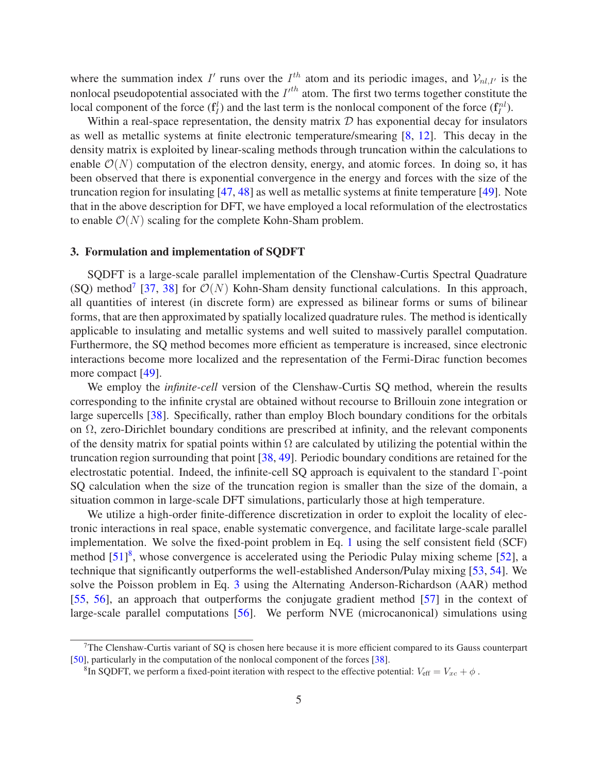where the summation index I' runs over the  $I^{th}$  atom and its periodic images, and  $V_{nl,I'}$  is the nonlocal pseudopotential associated with the  $I<sup>th</sup>$  atom. The first two terms together constitute the local component of the force  $(f_l^l)$  and the last term is the nonlocal component of the force  $(f_l^{nl})$ .

Within a real-space representation, the density matrix  $D$  has exponential decay for insulators as well as metallic systems at finite electronic temperature/smearing [8, 12]. This decay in the density matrix is exploited by linear-scaling methods through truncation within the calculations to enable  $\mathcal{O}(N)$  computation of the electron density, energy, and atomic forces. In doing so, it has been observed that there is exponential convergence in the energy and forces with the size of the truncation region for insulating [47, 48] as well as metallic systems at finite temperature [49]. Note that in the above description for DFT, we have employed a local reformulation of the electrostatics to enable  $\mathcal{O}(N)$  scaling for the complete Kohn-Sham problem.

# 3. Formulation and implementation of SQDFT

SQDFT is a large-scale parallel implementation of the Clenshaw-Curtis Spectral Quadrature (SQ) method<sup>7</sup> [37, 38] for  $\mathcal{O}(N)$  Kohn-Sham density functional calculations. In this approach, all quantities of interest (in discrete form) are expressed as bilinear forms or sums of bilinear forms, that are then approximated by spatially localized quadrature rules. The method is identically applicable to insulating and metallic systems and well suited to massively parallel computation. Furthermore, the SQ method becomes more efficient as temperature is increased, since electronic interactions become more localized and the representation of the Fermi-Dirac function becomes more compact [49].

We employ the *infinite-cell* version of the Clenshaw-Curtis SQ method, wherein the results corresponding to the infinite crystal are obtained without recourse to Brillouin zone integration or large supercells [38]. Specifically, rather than employ Bloch boundary conditions for the orbitals on Ω, zero-Dirichlet boundary conditions are prescribed at infinity, and the relevant components of the density matrix for spatial points within  $\Omega$  are calculated by utilizing the potential within the truncation region surrounding that point [38, 49]. Periodic boundary conditions are retained for the electrostatic potential. Indeed, the infinite-cell SQ approach is equivalent to the standard Γ-point SQ calculation when the size of the truncation region is smaller than the size of the domain, a situation common in large-scale DFT simulations, particularly those at high temperature.

We utilize a high-order finite-difference discretization in order to exploit the locality of electronic interactions in real space, enable systematic convergence, and facilitate large-scale parallel implementation. We solve the fixed-point problem in Eq. 1 using the self consistent field (SCF) method  $[51]^8$ , whose convergence is accelerated using the Periodic Pulay mixing scheme  $[52]$ , a technique that significantly outperforms the well-established Anderson/Pulay mixing [53, 54]. We solve the Poisson problem in Eq. 3 using the Alternating Anderson-Richardson (AAR) method [55, 56], an approach that outperforms the conjugate gradient method [57] in the context of large-scale parallel computations [56]. We perform NVE (microcanonical) simulations using

 $7$ The Clenshaw-Curtis variant of SQ is chosen here because it is more efficient compared to its Gauss counterpart [50], particularly in the computation of the nonlocal component of the forces [38].

<sup>&</sup>lt;sup>8</sup>In SQDFT, we perform a fixed-point iteration with respect to the effective potential:  $V_{\text{eff}} = V_{xc} + \phi$ .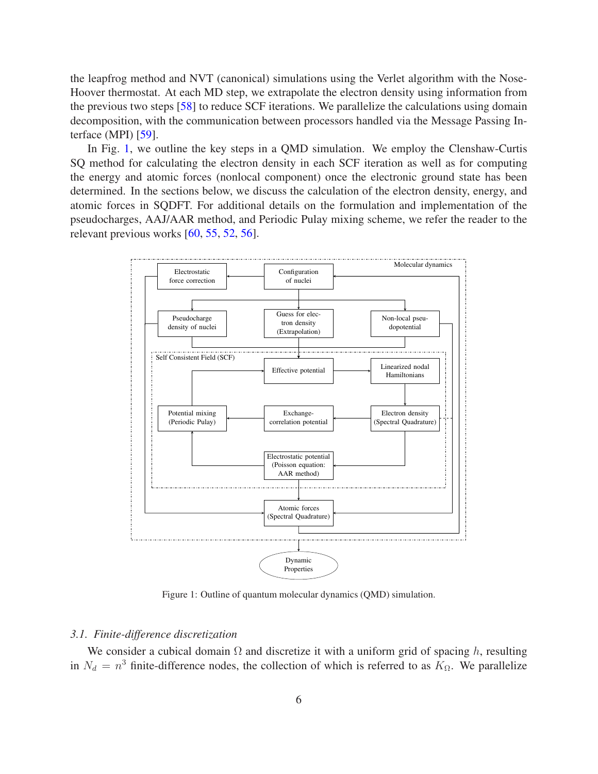the leapfrog method and NVT (canonical) simulations using the Verlet algorithm with the Nose-Hoover thermostat. At each MD step, we extrapolate the electron density using information from the previous two steps [58] to reduce SCF iterations. We parallelize the calculations using domain decomposition, with the communication between processors handled via the Message Passing Interface (MPI) [59].

In Fig. 1, we outline the key steps in a QMD simulation. We employ the Clenshaw-Curtis SQ method for calculating the electron density in each SCF iteration as well as for computing the energy and atomic forces (nonlocal component) once the electronic ground state has been determined. In the sections below, we discuss the calculation of the electron density, energy, and atomic forces in SQDFT. For additional details on the formulation and implementation of the pseudocharges, AAJ/AAR method, and Periodic Pulay mixing scheme, we refer the reader to the relevant previous works [60, 55, 52, 56].



Figure 1: Outline of quantum molecular dynamics (QMD) simulation.

#### *3.1. Finite-difference discretization*

We consider a cubical domain  $\Omega$  and discretize it with a uniform grid of spacing h, resulting in  $N_d = n^3$  finite-difference nodes, the collection of which is referred to as  $K_{\Omega}$ . We parallelize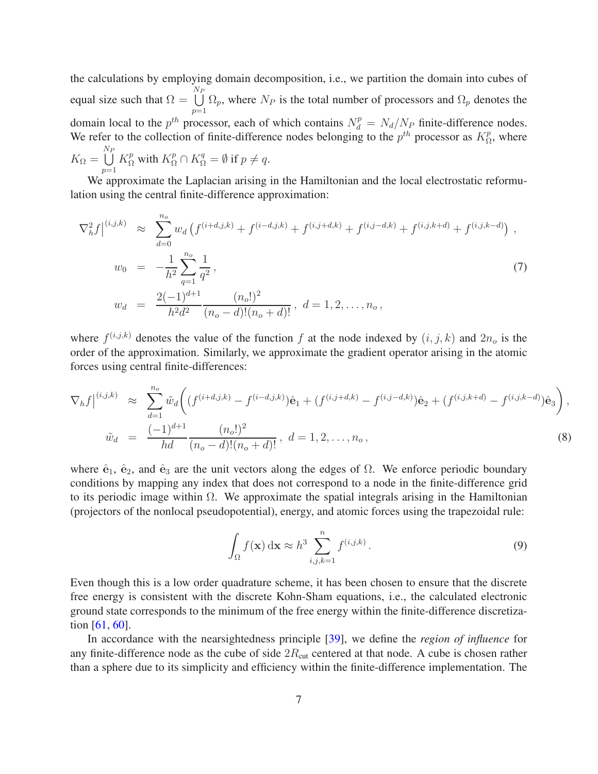the calculations by employing domain decomposition, i.e., we partition the domain into cubes of equal size such that  $\Omega =$  $\bigcup^{{N}_F}$  $p=1$  $\Omega_p$ , where  $N_P$  is the total number of processors and  $\Omega_p$  denotes the domain local to the  $p^{th}$  processor, each of which contains  $N_d^p = N_d/N_p$  finite-difference nodes. We refer to the collection of finite-difference nodes belonging to the  $p^{th}$  processor as  $K^p_{\Omega}$  $n_P^p$ , where  $K_{\Omega} =$  $\bigcup_{\alpha=1}^{N_P} K_{\Omega}^p$  with  $K_{\Omega}^p \cap K_{\Omega}^q = \emptyset$  if  $p \neq q$ .  $p=1$ 

We approximate the Laplacian arising in the Hamiltonian and the local electrostatic reformulation using the central finite-difference approximation:

$$
\nabla_h^2 f \Big|^{(i,j,k)} \approx \sum_{d=0}^{n_o} w_d \left( f^{(i+d,j,k)} + f^{(i-d,j,k)} + f^{(i,j+d,k)} + f^{(i,j-d,k)} + f^{(i,j,k+d)} + f^{(i,j,k-d)} \right),
$$
  
\n
$$
w_0 = -\frac{1}{h^2} \sum_{q=1}^{n_o} \frac{1}{q^2},
$$
  
\n
$$
w_d = \frac{2(-1)^{d+1}}{h^2 d^2} \frac{(n_o!)^2}{(n_o - d)!(n_o + d)!}, \ d = 1, 2, ..., n_o,
$$
 (7)

where  $f^{(i,j,k)}$  denotes the value of the function f at the node indexed by  $(i, j, k)$  and  $2n_o$  is the order of the approximation. Similarly, we approximate the gradient operator arising in the atomic forces using central finite-differences:

$$
\nabla_h f|^{(i,j,k)} \approx \sum_{d=1}^{n_o} \tilde{w}_d \bigg( (f^{(i+d,j,k)} - f^{(i-d,j,k)}) \hat{\mathbf{e}}_1 + (f^{(i,j+d,k)} - f^{(i,j-d,k)}) \hat{\mathbf{e}}_2 + (f^{(i,j,k+d)} - f^{(i,j,k-d)}) \hat{\mathbf{e}}_3 \bigg),
$$
  

$$
\tilde{w}_d = \frac{(-1)^{d+1}}{hd} \frac{(n_o!)^2}{(n_o - d)!(n_o + d)!}, \quad d = 1, 2, ..., n_o,
$$
 (8)

where  $\hat{\mathbf{e}}_1$ ,  $\hat{\mathbf{e}}_2$ , and  $\hat{\mathbf{e}}_3$  are the unit vectors along the edges of  $\Omega$ . We enforce periodic boundary conditions by mapping any index that does not correspond to a node in the finite-difference grid to its periodic image within  $\Omega$ . We approximate the spatial integrals arising in the Hamiltonian (projectors of the nonlocal pseudopotential), energy, and atomic forces using the trapezoidal rule:

$$
\int_{\Omega} f(\mathbf{x}) \, \mathrm{d}\mathbf{x} \approx h^3 \sum_{i,j,k=1}^n f^{(i,j,k)}.
$$
\n(9)

Even though this is a low order quadrature scheme, it has been chosen to ensure that the discrete free energy is consistent with the discrete Kohn-Sham equations, i.e., the calculated electronic ground state corresponds to the minimum of the free energy within the finite-difference discretization [61, 60].

In accordance with the nearsightedness principle [39], we define the *region of influence* for any finite-difference node as the cube of side  $2R_{\text{cut}}$  centered at that node. A cube is chosen rather than a sphere due to its simplicity and efficiency within the finite-difference implementation. The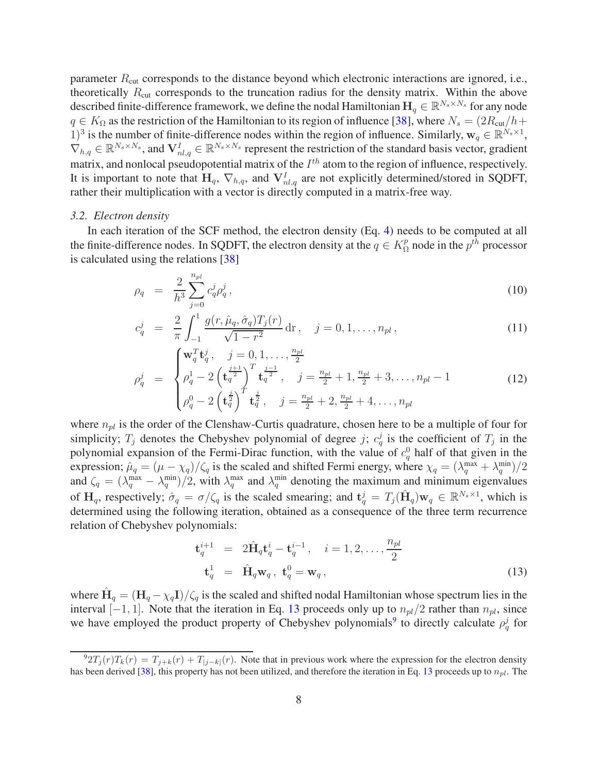parameter  $R_{\text{cut}}$  corresponds to the distance beyond which electronic interactions are ignored, i.e., theoretically  $R_{\text{cut}}$  corresponds to the truncation radius for the density matrix. Within the above described finite-difference framework, we define the nodal Hamiltonian  $H_q \in \mathbb{R}^{N_s \times N_s}$  for any node  $q \in K_{\Omega}$  as the restriction of the Hamiltonian to its region of influence [38], where  $N_s = (2R_{\text{cut}}/h +$ 1)<sup>3</sup> is the number of finite-difference nodes within the region of influence. Similarly,  $w_q \in \mathbb{R}^{N_s \times 1}$ ,  $\nabla_{h,q} \in \mathbb{R}^{N_s \times N_s}$ , and  $\mathbf{V}^I_{nl,q} \in \mathbb{R}^{N_s \times N_s}$  represent the restriction of the standard basis vector, gradient matrix, and nonlocal pseudopotential matrix of the  $I^{th}$  atom to the region of influence, respectively. It is important to note that  $H_q$ ,  $\nabla_{h,q}$ , and  $V_{nl,q}^I$  are not explicitly determined/stored in SQDFT, rather their multiplication with a vector is directly computed in a matrix-free way.

#### *3.2. Electron density*

In each iteration of the SCF method, the electron density (Eq. 4) needs to be computed at all the finite-difference nodes. In SQDFT, the electron density at the  $q \in K_{\Omega}^{p}$  $\frac{p}{\Omega}$  node in the  $p^{th}$  processor is calculated using the relations [38]

$$
\rho_q = \frac{2}{h^3} \sum_{j=0}^{n_{pl}} c_q^j \rho_q^j, \qquad (10)
$$

$$
c_q^j = \frac{2}{\pi} \int_{-1}^1 \frac{g(r, \hat{\mu}_q, \hat{\sigma}_q) T_j(r)}{\sqrt{1 - r^2}} dr, \quad j = 0, 1, \dots, n_{pl},
$$
\n(11)

$$
\rho_q^j = \begin{cases} \mathbf{w}_q^T \mathbf{t}_q^j, \quad j = 0, 1, \dots, \frac{n_{pl}}{2} \\ \rho_q^1 - 2 \left( \mathbf{t}_q^{\frac{j+1}{2}} \right)^T \mathbf{t}_q^{\frac{j-1}{2}}, \quad j = \frac{n_{pl}}{2} + 1, \frac{n_{pl}}{2} + 3, \dots, n_{pl} - 1 \\ \rho_q^0 - 2 \left( \mathbf{t}_q^{\frac{j}{2}} \right)^T \mathbf{t}_q^{\frac{j}{2}}, \quad j = \frac{n_{pl}}{2} + 2, \frac{n_{pl}}{2} + 4, \dots, n_{pl} \end{cases} \tag{12}
$$

where  $n_{nl}$  is the order of the Clenshaw-Curtis quadrature, chosen here to be a multiple of four for simplicity;  $T_j$  denotes the Chebyshev polynomial of degree j;  $c_q^j$  is the coefficient of  $T_j$  in the polynomial expansion of the Fermi-Dirac function, with the value of  $c_q^0$  half of that given in the expression;  $\hat{\mu}_q = (\mu - \chi_q)/\zeta_q$  is the scaled and shifted Fermi energy, where  $\chi_q = (\lambda_q^{\max} + \lambda_q^{\min})/2$ and  $\zeta_q = (\lambda_q^{\text{max}} - \lambda_q^{\text{min}})/2$ , with  $\lambda_q^{\text{max}}$  and  $\lambda_q^{\text{min}}$  denoting the maximum and minimum eigenvalues of H<sub>q</sub>, respectively;  $\hat{\sigma}_q = \sigma/\zeta_q$  is the scaled smearing; and  $\mathbf{t}_q^j = T_j(\hat{\mathbf{H}}_q)\mathbf{w}_q \in \mathbb{R}^{N_s \times 1}$ , which is determined using the following iteration, obtained as a consequence of the three term recurrence relation of Chebyshev polynomials:

$$
\mathbf{t}_q^{i+1} = 2\hat{\mathbf{H}}_q \mathbf{t}_q^i - \mathbf{t}_q^{i-1}, \quad i = 1, 2, \dots, \frac{n_{pl}}{2}
$$
\n
$$
\mathbf{t}_q^1 = \hat{\mathbf{H}}_q \mathbf{w}_q, \ \mathbf{t}_q^0 = \mathbf{w}_q, \tag{13}
$$

where  $\hat{H}_q = (H_q - \chi_q I)/\zeta_q$  is the scaled and shifted nodal Hamiltonian whose spectrum lies in the interval [−1, 1]. Note that the iteration in Eq. 13 proceeds only up to  $n_{pl}/2$  rather than  $n_{pl}$ , since we have employed the product property of Chebyshev polynomials<sup>9</sup> to directly calculate  $\rho_q^j$  for

 $\frac{92T_j(r)T_k(r)}{T_{j+k}(r)}$  +  $T_{j-k}(r)$ . Note that in previous work where the expression for the electron density has been derived [38], this property has not been utilized, and therefore the iteration in Eq. 13 proceeds up to  $n_{pl}$ . The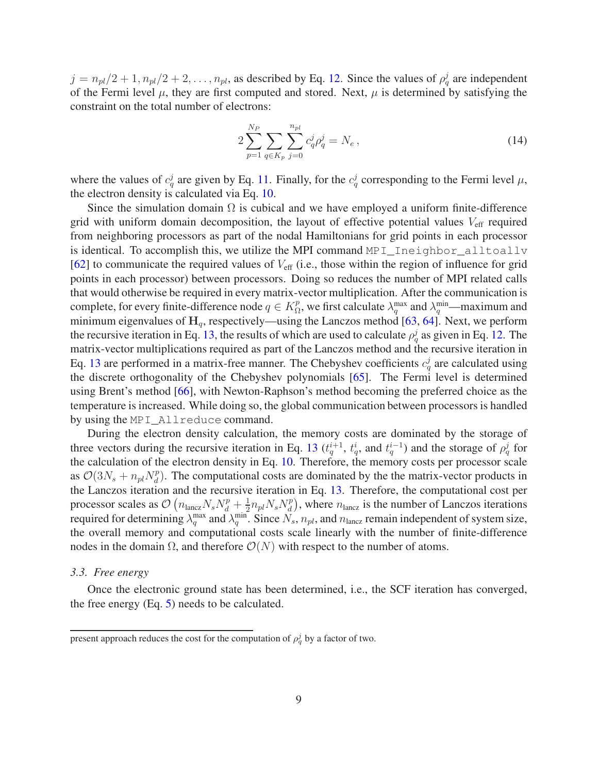$j = n_{pl}/2 + 1, n_{pl}/2 + 2, \ldots, n_{pl}$ , as described by Eq. 12. Since the values of  $\rho_q^j$  are independent of the Fermi level  $\mu$ , they are first computed and stored. Next,  $\mu$  is determined by satisfying the constraint on the total number of electrons:

$$
2\sum_{p=1}^{N_P} \sum_{q \in K_p} \sum_{j=0}^{n_{pl}} c_q^j \rho_q^j = N_e \,, \tag{14}
$$

where the values of  $c_q^j$  are given by Eq. 11. Finally, for the  $c_q^j$  corresponding to the Fermi level  $\mu$ , the electron density is calculated via Eq. 10.

Since the simulation domain  $\Omega$  is cubical and we have employed a uniform finite-difference grid with uniform domain decomposition, the layout of effective potential values  $V_{\text{eff}}$  required from neighboring processors as part of the nodal Hamiltonians for grid points in each processor is identical. To accomplish this, we utilize the MPI command MPI\_Ineighbor\_alltoallv  $[62]$  to communicate the required values of  $V_{\text{eff}}$  (i.e., those within the region of influence for grid points in each processor) between processors. Doing so reduces the number of MPI related calls that would otherwise be required in every matrix-vector multiplication. After the communication is complete, for every finite-difference node  $q \in K^p_{\Omega}$  $\Omega_p^p$ , we first calculate  $\lambda_q^{\text{max}}$  and  $\lambda_q^{\text{min}}$ —maximum and minimum eigenvalues of  $H_q$ , respectively—using the Lanczos method [63, 64]. Next, we perform the recursive iteration in Eq. 13, the results of which are used to calculate  $\rho_q^j$  as given in Eq. 12. The matrix-vector multiplications required as part of the Lanczos method and the recursive iteration in Eq. 13 are performed in a matrix-free manner. The Chebyshev coefficients  $c_q^j$  are calculated using the discrete orthogonality of the Chebyshev polynomials [65]. The Fermi level is determined using Brent's method [66], with Newton-Raphson's method becoming the preferred choice as the temperature is increased. While doing so, the global communication between processors is handled by using the MPI\_Allreduce command.

During the electron density calculation, the memory costs are dominated by the storage of three vectors during the recursive iteration in Eq. 13  $(t_q^{i+1}, t_q^i)$ , and  $t_q^{i-1}$  and the storage of  $\rho_q^j$  for the calculation of the electron density in Eq. 10. Therefore, the memory costs per processor scale as  $\mathcal{O}(3N_s + n_{pl}N_d^p)$  $\ell_d^p$ ). The computational costs are dominated by the the matrix-vector products in the Lanczos iteration and the recursive iteration in Eq. 13. Therefore, the computational cost per processor scales as  $\mathcal{O}\left(n_{\text{lancz}}N_sN_d^p+\frac{1}{2}\right)$  $\frac{1}{2} n_{pl} N_s N_d^p$  $\binom{p}{d}$ , where  $n_{\text{lancz}}$  is the number of Lanczos iterations required for determining  $\lambda_q^{\max}$  and  $\lambda_q^{\min}$ . Since  $N_s$ ,  $n_{pl}$ , and  $n_{\text{lancz}}$  remain independent of system size, the overall memory and computational costs scale linearly with the number of finite-difference nodes in the domain  $\Omega$ , and therefore  $\mathcal{O}(N)$  with respect to the number of atoms.

#### *3.3. Free energy*

Once the electronic ground state has been determined, i.e., the SCF iteration has converged, the free energy (Eq. 5) needs to be calculated.

present approach reduces the cost for the computation of  $\rho_q^j$  by a factor of two.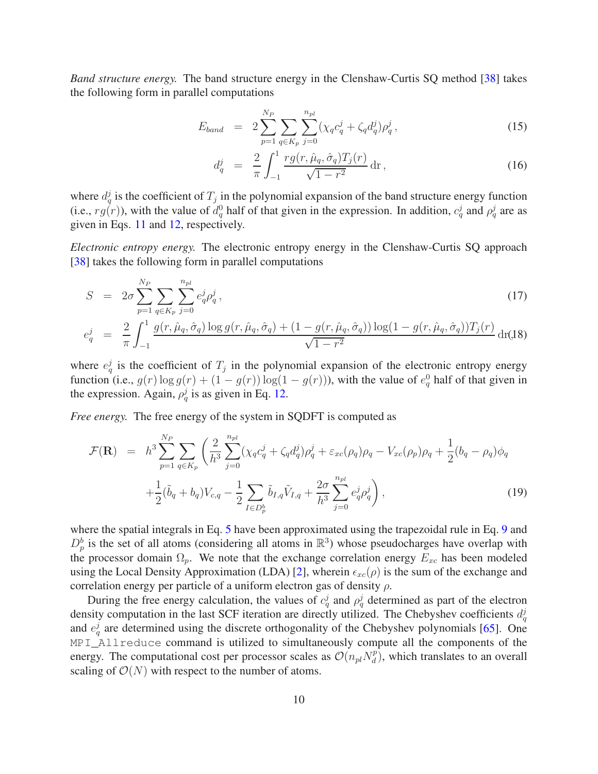*Band structure energy.* The band structure energy in the Clenshaw-Curtis SQ method [38] takes the following form in parallel computations

$$
E_{band} = 2 \sum_{p=1}^{N_P} \sum_{q \in K_p} \sum_{j=0}^{n_{pl}} (\chi_q c_q^j + \zeta_q d_q^j) \rho_q^j, \qquad (15)
$$

$$
d_q^j \ = \ \frac{2}{\pi} \int_{-1}^1 \frac{rg(r, \hat{\mu}_q, \hat{\sigma}_q) T_j(r)}{\sqrt{1 - r^2}} \, \mathrm{d}r \,, \tag{16}
$$

where  $d_q^j$  is the coefficient of  $T_j$  in the polynomial expansion of the band structure energy function (i.e.,  $rg(r)$ ), with the value of  $d_q^0$  half of that given in the expression. In addition,  $c_q^j$  and  $\rho_q^j$  are as given in Eqs. 11 and 12, respectively.

*Electronic entropy energy.* The electronic entropy energy in the Clenshaw-Curtis SQ approach [38] takes the following form in parallel computations

$$
S = 2\sigma \sum_{p=1}^{N_P} \sum_{q \in K_p} \sum_{j=0}^{n_{pl}} e_q^j \rho_q^j,
$$
  
2 f<sup>1</sup> g(r, \hat{u}, \hat{\sigma}) \log g(r, \hat{u}, \hat{\sigma}) + (1 - g(r, \hat{u}, \hat{\sigma})) \log (1 - g(r, \hat{u}, \hat{\sigma})) T\_r(r) (1 - g(r, \hat{u}, \hat{\sigma}))

$$
e_q^j = \frac{2}{\pi} \int_{-1}^1 \frac{g(r, \hat{\mu}_q, \hat{\sigma}_q) \log g(r, \hat{\mu}_q, \hat{\sigma}_q) + (1 - g(r, \hat{\mu}_q, \hat{\sigma}_q)) \log (1 - g(r, \hat{\mu}_q, \hat{\sigma}_q)) T_j(r)}{\sqrt{1 - r^2}} \, \mathrm{d}r(18)
$$

where  $e_q^j$  is the coefficient of  $T_j$  in the polynomial expansion of the electronic entropy energy function (i.e.,  $g(r) \log g(r) + (1 - g(r)) \log(1 - g(r))$ ), with the value of  $e_q^0$  half of that given in the expression. Again,  $\rho_q^j$  is as given in Eq. 12.

*Free energy.* The free energy of the system in SQDFT is computed as

$$
\mathcal{F}(\mathbf{R}) = h^3 \sum_{p=1}^{N_P} \sum_{q \in K_p} \left( \frac{2}{h^3} \sum_{j=0}^{n_{pl}} (\chi_q c_q^j + \zeta_q d_q^j) \rho_q^j + \varepsilon_{xc}(\rho_q) \rho_q - V_{xc}(\rho_p) \rho_q + \frac{1}{2} (b_q - \rho_q) \phi_q \right. \left. + \frac{1}{2} (\tilde{b}_q + b_q) V_{c,q} - \frac{1}{2} \sum_{I \in D_p^b} \tilde{b}_{I,q} \tilde{V}_{I,q} + \frac{2\sigma}{h^3} \sum_{j=0}^{n_{pl}} e_q^j \rho_q^j \right),
$$
\n(19)

where the spatial integrals in Eq. 5 have been approximated using the trapezoidal rule in Eq. 9 and  $D_p^b$  is the set of all atoms (considering all atoms in  $\mathbb{R}^3$ ) whose pseudocharges have overlap with the processor domain  $\Omega_p$ . We note that the exchange correlation energy  $E_{xc}$  has been modeled using the Local Density Approximation (LDA) [2], wherein  $\epsilon_{xc}(\rho)$  is the sum of the exchange and correlation energy per particle of a uniform electron gas of density  $\rho$ .

During the free energy calculation, the values of  $c_q^j$  and  $\rho_q^j$  determined as part of the electron density computation in the last SCF iteration are directly utilized. The Chebyshev coefficients  $d_q^j$ and  $e_q^j$  are determined using the discrete orthogonality of the Chebyshev polynomials [65]. One MPI\_Allreduce command is utilized to simultaneously compute all the components of the energy. The computational cost per processor scales as  $\mathcal{O}(n_{pl}N_d^p)$  $\binom{p}{d}$ , which translates to an overall scaling of  $\mathcal{O}(N)$  with respect to the number of atoms.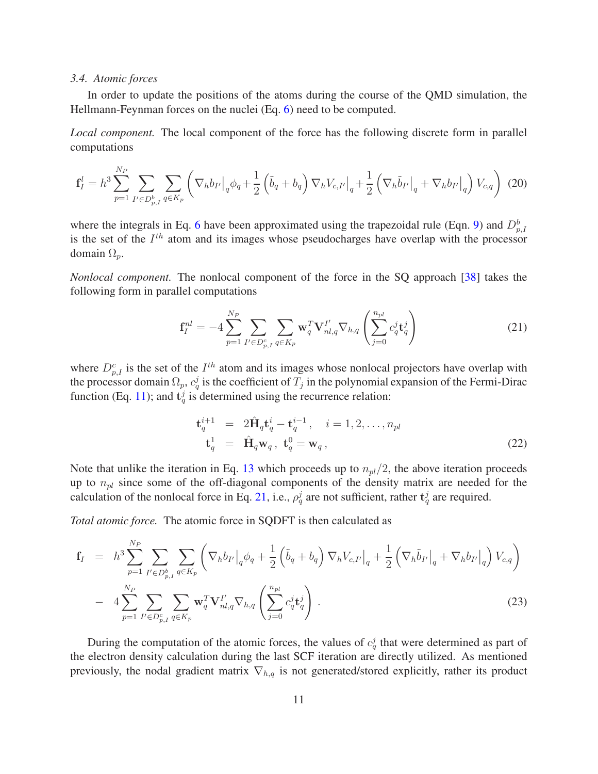#### *3.4. Atomic forces*

In order to update the positions of the atoms during the course of the QMD simulation, the Hellmann-Feynman forces on the nuclei (Eq. 6) need to be computed.

*Local component.* The local component of the force has the following discrete form in parallel computations

$$
\mathbf{f}_{I}^{l} = h^{3} \sum_{p=1}^{N_{P}} \sum_{I' \in D_{p,I}^{b}} \sum_{q \in K_{p}} \left( \nabla_{h} b_{I'} \big|_{q} \phi_{q} + \frac{1}{2} \left( \tilde{b}_{q} + b_{q} \right) \nabla_{h} V_{c,I'} \big|_{q} + \frac{1}{2} \left( \nabla_{h} \tilde{b}_{I'} \big|_{q} + \nabla_{h} b_{I'} \big|_{q} \right) V_{c,q} \right) (20)
$$

where the integrals in Eq. 6 have been approximated using the trapezoidal rule (Eqn. 9) and  $D_{p,I}^b$ is the set of the  $I<sup>th</sup>$  atom and its images whose pseudocharges have overlap with the processor domain  $\Omega_n$ .

*Nonlocal component.* The nonlocal component of the force in the SQ approach [38] takes the following form in parallel computations

$$
\mathbf{f}_{I}^{nl} = -4 \sum_{p=1}^{N_{P}} \sum_{I' \in D_{p,I}^{c}} \sum_{q \in K_{p}} \mathbf{w}_{q}^{T} \mathbf{V}_{nl,q}^{I'} \nabla_{h,q} \left( \sum_{j=0}^{n_{pl}} c_{q}^{j} \mathbf{t}_{q}^{j} \right)
$$
(21)

where  $D_{p,I}^c$  is the set of the  $I^{th}$  atom and its images whose nonlocal projectors have overlap with the processor domain  $\Omega_p$ ,  $c_q^j$  is the coefficient of  $T_j$  in the polynomial expansion of the Fermi-Dirac function (Eq. 11); and  $t_q^j$  is determined using the recurrence relation:

$$
\mathbf{t}_q^{i+1} = 2\hat{\mathbf{H}}_q \mathbf{t}_q^i - \mathbf{t}_q^{i-1}, \quad i = 1, 2, \dots, n_{pl}
$$
  

$$
\mathbf{t}_q^1 = \hat{\mathbf{H}}_q \mathbf{w}_q, \ \mathbf{t}_q^0 = \mathbf{w}_q, \tag{22}
$$

Note that unlike the iteration in Eq. 13 which proceeds up to  $n_{pl}/2$ , the above iteration proceeds up to  $n_{pl}$  since some of the off-diagonal components of the density matrix are needed for the calculation of the nonlocal force in Eq. 21, i.e.,  $\rho_q^j$  are not sufficient, rather  $\mathbf{t}_q^j$  are required.

*Total atomic force.* The atomic force in SQDFT is then calculated as

$$
\mathbf{f}_{I} = h^{3} \sum_{p=1}^{N_{P}} \sum_{I' \in D_{p,I}^{b}} \sum_{q \in K_{p}} \left( \nabla_{h} b_{I'} \big|_{q} \phi_{q} + \frac{1}{2} \left( \tilde{b}_{q} + b_{q} \right) \nabla_{h} V_{c,I'} \big|_{q} + \frac{1}{2} \left( \nabla_{h} \tilde{b}_{I'} \big|_{q} + \nabla_{h} b_{I'} \big|_{q} \right) V_{c,q} \right) - 4 \sum_{p=1}^{N_{P}} \sum_{I' \in D_{p,I}^{c}} \sum_{q \in K_{p}} \mathbf{w}_{q}^{T} \mathbf{V}_{nl,q}^{I'} \nabla_{h,q} \left( \sum_{j=0}^{n_{pl}} c_{q}^{j} \mathbf{t}_{q}^{j} \right).
$$
\n(23)

During the computation of the atomic forces, the values of  $c_q^j$  that were determined as part of the electron density calculation during the last SCF iteration are directly utilized. As mentioned previously, the nodal gradient matrix  $\nabla_{h,q}$  is not generated/stored explicitly, rather its product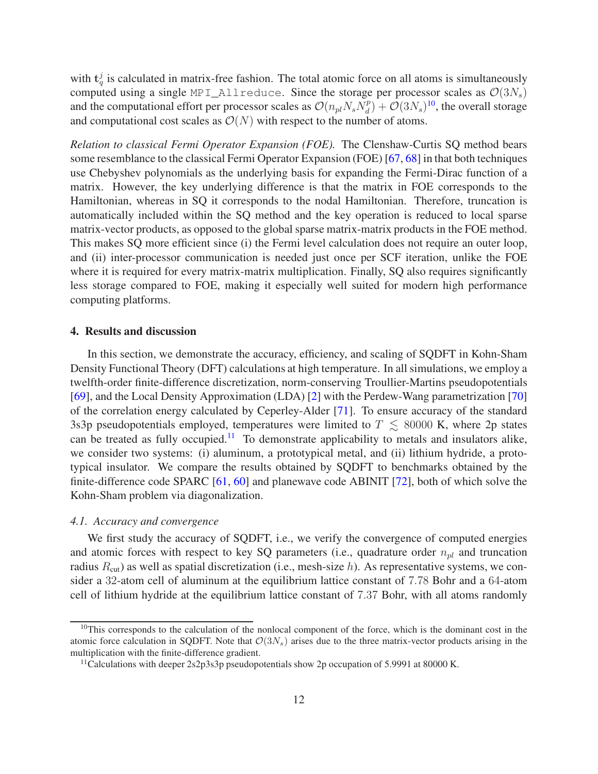with  $t_q^j$  is calculated in matrix-free fashion. The total atomic force on all atoms is simultaneously computed using a single MPI\_Allreduce. Since the storage per processor scales as  $\mathcal{O}(3N_s)$ and the computational effort per processor scales as  $\mathcal{O}(n_{pl}N_sN_d^p)$  $\mathcal{O}(3N_s)^{10}$ , the overall storage and computational cost scales as  $\mathcal{O}(N)$  with respect to the number of atoms.

*Relation to classical Fermi Operator Expansion (FOE).* The Clenshaw-Curtis SQ method bears some resemblance to the classical Fermi Operator Expansion (FOE) [67, 68] in that both techniques use Chebyshev polynomials as the underlying basis for expanding the Fermi-Dirac function of a matrix. However, the key underlying difference is that the matrix in FOE corresponds to the Hamiltonian, whereas in SQ it corresponds to the nodal Hamiltonian. Therefore, truncation is automatically included within the SQ method and the key operation is reduced to local sparse matrix-vector products, as opposed to the global sparse matrix-matrix products in the FOE method. This makes SQ more efficient since (i) the Fermi level calculation does not require an outer loop, and (ii) inter-processor communication is needed just once per SCF iteration, unlike the FOE where it is required for every matrix-matrix multiplication. Finally, SQ also requires significantly less storage compared to FOE, making it especially well suited for modern high performance computing platforms.

#### 4. Results and discussion

In this section, we demonstrate the accuracy, efficiency, and scaling of SQDFT in Kohn-Sham Density Functional Theory (DFT) calculations at high temperature. In all simulations, we employ a twelfth-order finite-difference discretization, norm-conserving Troullier-Martins pseudopotentials [69], and the Local Density Approximation (LDA) [2] with the Perdew-Wang parametrization [70] of the correlation energy calculated by Ceperley-Alder [71]. To ensure accuracy of the standard 3s3p pseudopotentials employed, temperatures were limited to  $T \leq 80000$  K, where 2p states can be treated as fully occupied.<sup>11</sup> To demonstrate applicability to metals and insulators alike, we consider two systems: (i) aluminum, a prototypical metal, and (ii) lithium hydride, a prototypical insulator. We compare the results obtained by SQDFT to benchmarks obtained by the finite-difference code SPARC [61, 60] and planewave code ABINIT [72], both of which solve the Kohn-Sham problem via diagonalization.

#### *4.1. Accuracy and convergence*

We first study the accuracy of SQDFT, i.e., we verify the convergence of computed energies and atomic forces with respect to key SQ parameters (i.e., quadrature order  $n_{pl}$  and truncation radius  $R_{\text{cut}}$ ) as well as spatial discretization (i.e., mesh-size h). As representative systems, we consider a 32-atom cell of aluminum at the equilibrium lattice constant of 7.78 Bohr and a 64-atom cell of lithium hydride at the equilibrium lattice constant of 7.37 Bohr, with all atoms randomly

<sup>&</sup>lt;sup>10</sup>This corresponds to the calculation of the nonlocal component of the force, which is the dominant cost in the atomic force calculation in SQDFT. Note that  $\mathcal{O}(3N_s)$  arises due to the three matrix-vector products arising in the multiplication with the finite-difference gradient.

<sup>&</sup>lt;sup>11</sup>Calculations with deeper 2s2p3s3p pseudopotentials show 2p occupation of 5.9991 at 80000 K.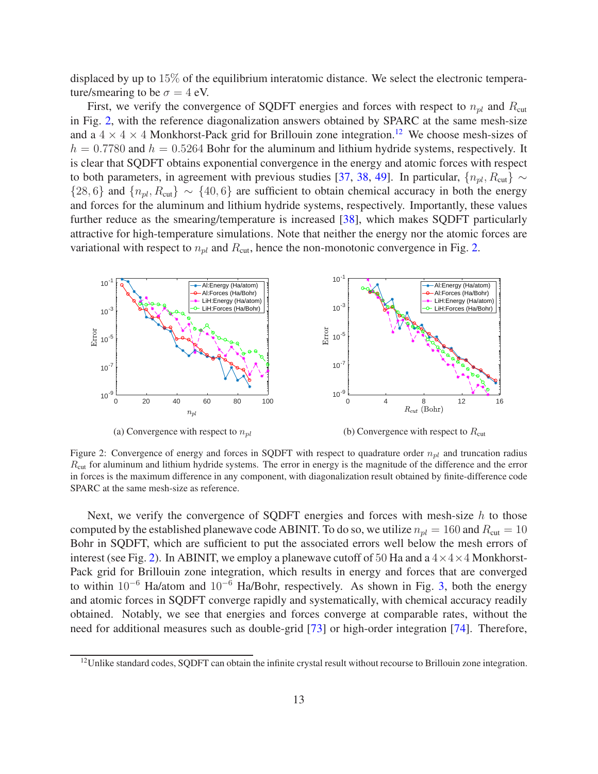displaced by up to 15% of the equilibrium interatomic distance. We select the electronic temperature/smearing to be  $\sigma = 4$  eV.

First, we verify the convergence of SQDFT energies and forces with respect to  $n_{pl}$  and  $R_{cut}$ in Fig. 2, with the reference diagonalization answers obtained by SPARC at the same mesh-size and a  $4 \times 4 \times 4$  Monkhorst-Pack grid for Brillouin zone integration.<sup>12</sup> We choose mesh-sizes of  $h = 0.7780$  and  $h = 0.5264$  Bohr for the aluminum and lithium hydride systems, respectively. It is clear that SQDFT obtains exponential convergence in the energy and atomic forces with respect to both parameters, in agreement with previous studies [37, 38, 49]. In particular,  $\{n_{pl}, R_{cut}\}\sim$  ${28, 6}$  and  ${n_{pl}, R_{cut}} \sim {40, 6}$  are sufficient to obtain chemical accuracy in both the energy and forces for the aluminum and lithium hydride systems, respectively. Importantly, these values further reduce as the smearing/temperature is increased [38], which makes SQDFT particularly attractive for high-temperature simulations. Note that neither the energy nor the atomic forces are variational with respect to  $n_{pl}$  and  $R_{\text{cut}}$ , hence the non-monotonic convergence in Fig. 2.



Figure 2: Convergence of energy and forces in SQDFT with respect to quadrature order  $n_{nl}$  and truncation radius  $R_{\text{cut}}$  for aluminum and lithium hydride systems. The error in energy is the magnitude of the difference and the error in forces is the maximum difference in any component, with diagonalization result obtained by finite-difference code SPARC at the same mesh-size as reference.

Next, we verify the convergence of SQDFT energies and forces with mesh-size  $h$  to those computed by the established planewave code ABINIT. To do so, we utilize  $n_{pl} = 160$  and  $R_{cut} = 10$ Bohr in SQDFT, which are sufficient to put the associated errors well below the mesh errors of interest (see Fig. 2). In ABINIT, we employ a planewave cutoff of 50 Ha and a  $4 \times 4 \times 4$  Monkhorst-Pack grid for Brillouin zone integration, which results in energy and forces that are converged to within  $10^{-6}$  Ha/atom and  $10^{-6}$  Ha/Bohr, respectively. As shown in Fig. 3, both the energy and atomic forces in SQDFT converge rapidly and systematically, with chemical accuracy readily obtained. Notably, we see that energies and forces converge at comparable rates, without the need for additional measures such as double-grid [73] or high-order integration [74]. Therefore,

<sup>&</sup>lt;sup>12</sup>Unlike standard codes, SQDFT can obtain the infinite crystal result without recourse to Brillouin zone integration.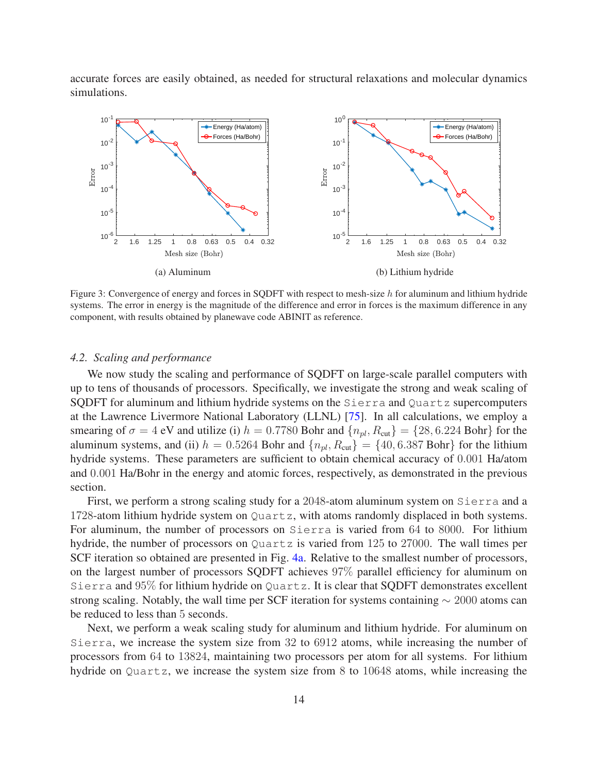accurate forces are easily obtained, as needed for structural relaxations and molecular dynamics simulations.



Figure 3: Convergence of energy and forces in SQDFT with respect to mesh-size h for aluminum and lithium hydride systems. The error in energy is the magnitude of the difference and error in forces is the maximum difference in any component, with results obtained by planewave code ABINIT as reference.

#### *4.2. Scaling and performance*

We now study the scaling and performance of SQDFT on large-scale parallel computers with up to tens of thousands of processors. Specifically, we investigate the strong and weak scaling of SQDFT for aluminum and lithium hydride systems on the Sierra and Quartz supercomputers at the Lawrence Livermore National Laboratory (LLNL) [75]. In all calculations, we employ a smearing of  $\sigma = 4$  eV and utilize (i)  $h = 0.7780$  Bohr and  $\{n_{pl}, R_{cut}\} = \{28, 6.224$  Bohr} for the aluminum systems, and (ii)  $h = 0.5264$  Bohr and  $\{n_{pl}, R_{cut}\} = \{40, 6.387$  Bohr} for the lithium hydride systems. These parameters are sufficient to obtain chemical accuracy of 0.001 Ha/atom and 0.001 Ha/Bohr in the energy and atomic forces, respectively, as demonstrated in the previous section.

First, we perform a strong scaling study for a 2048-atom aluminum system on Sierra and a 1728-atom lithium hydride system on Quartz, with atoms randomly displaced in both systems. For aluminum, the number of processors on Sierra is varied from 64 to 8000. For lithium hydride, the number of processors on Quartz is varied from 125 to 27000. The wall times per SCF iteration so obtained are presented in Fig. 4a. Relative to the smallest number of processors, on the largest number of processors SQDFT achieves 97% parallel efficiency for aluminum on Sierra and 95% for lithium hydride on Quartz. It is clear that SQDFT demonstrates excellent strong scaling. Notably, the wall time per SCF iteration for systems containing  $\sim 2000$  atoms can be reduced to less than 5 seconds.

Next, we perform a weak scaling study for aluminum and lithium hydride. For aluminum on Sierra, we increase the system size from 32 to 6912 atoms, while increasing the number of processors from 64 to 13824, maintaining two processors per atom for all systems. For lithium hydride on Quartz, we increase the system size from 8 to 10648 atoms, while increasing the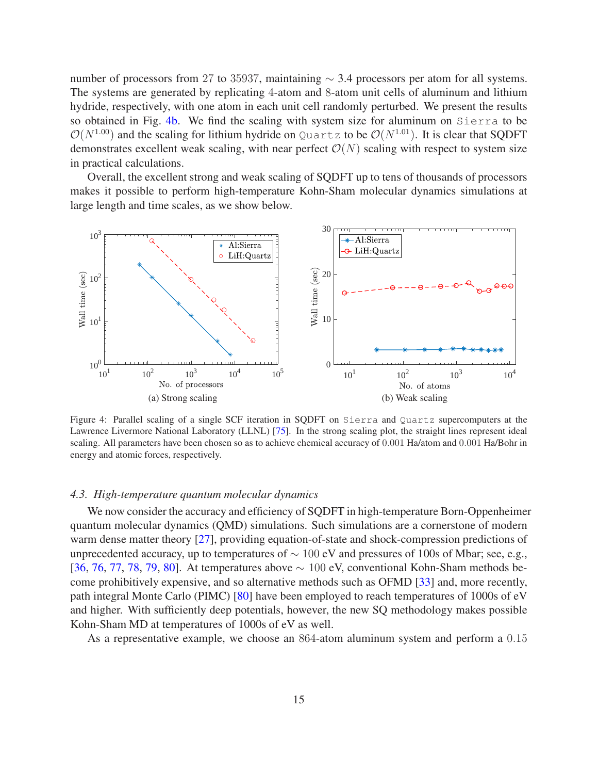number of processors from 27 to 35937, maintaining  $\sim$  3.4 processors per atom for all systems. The systems are generated by replicating 4-atom and 8-atom unit cells of aluminum and lithium hydride, respectively, with one atom in each unit cell randomly perturbed. We present the results so obtained in Fig. 4b. We find the scaling with system size for aluminum on Sierra to be  $\mathcal{O}(N^{1.00})$  and the scaling for lithium hydride on Quartz to be  $\mathcal{O}(N^{1.01})$ . It is clear that SQDFT demonstrates excellent weak scaling, with near perfect  $\mathcal{O}(N)$  scaling with respect to system size in practical calculations.

Overall, the excellent strong and weak scaling of SQDFT up to tens of thousands of processors makes it possible to perform high-temperature Kohn-Sham molecular dynamics simulations at large length and time scales, as we show below.



Figure 4: Parallel scaling of a single SCF iteration in SQDFT on Sierra and Quartz supercomputers at the Lawrence Livermore National Laboratory (LLNL) [75]. In the strong scaling plot, the straight lines represent ideal scaling. All parameters have been chosen so as to achieve chemical accuracy of 0.001 Ha/atom and 0.001 Ha/Bohr in energy and atomic forces, respectively.

# *4.3. High-temperature quantum molecular dynamics*

We now consider the accuracy and efficiency of SQDFT in high-temperature Born-Oppenheimer quantum molecular dynamics (QMD) simulations. Such simulations are a cornerstone of modern warm dense matter theory [27], providing equation-of-state and shock-compression predictions of unprecedented accuracy, up to temperatures of  $\sim 100$  eV and pressures of 100s of Mbar; see, e.g., [36, 76, 77, 78, 79, 80]. At temperatures above ∼ 100 eV, conventional Kohn-Sham methods become prohibitively expensive, and so alternative methods such as OFMD [33] and, more recently, path integral Monte Carlo (PIMC) [80] have been employed to reach temperatures of 1000s of eV and higher. With sufficiently deep potentials, however, the new SQ methodology makes possible Kohn-Sham MD at temperatures of 1000s of eV as well.

As a representative example, we choose an 864-atom aluminum system and perform a 0.15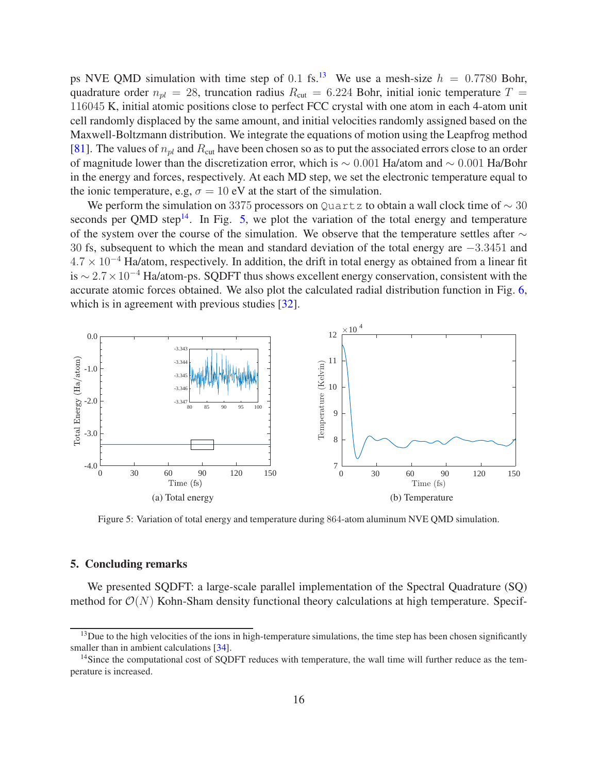ps NVE QMD simulation with time step of 0.1 fs.<sup>13</sup> We use a mesh-size  $h = 0.7780$  Bohr, quadrature order  $n_{pl} = 28$ , truncation radius  $R_{cut} = 6.224$  Bohr, initial ionic temperature  $T =$ 116045 K, initial atomic positions close to perfect FCC crystal with one atom in each 4-atom unit cell randomly displaced by the same amount, and initial velocities randomly assigned based on the Maxwell-Boltzmann distribution. We integrate the equations of motion using the Leapfrog method [81]. The values of  $n_{pl}$  and  $R_{cut}$  have been chosen so as to put the associated errors close to an order of magnitude lower than the discretization error, which is ∼ 0.001 Ha/atom and ∼ 0.001 Ha/Bohr in the energy and forces, respectively. At each MD step, we set the electronic temperature equal to the ionic temperature, e.g,  $\sigma = 10$  eV at the start of the simulation.

We perform the simulation on 3375 processors on Quartz to obtain a wall clock time of  $\sim$  30 seconds per QMD step<sup>14</sup>. In Fig. 5, we plot the variation of the total energy and temperature of the system over the course of the simulation. We observe that the temperature settles after  $\sim$ 30 fs, subsequent to which the mean and standard deviation of the total energy are −3.3451 and  $4.7 \times 10^{-4}$  Ha/atom, respectively. In addition, the drift in total energy as obtained from a linear fit is <sup>∼</sup> <sup>2</sup>.7×10<sup>−</sup><sup>4</sup> Ha/atom-ps. SQDFT thus shows excellent energy conservation, consistent with the accurate atomic forces obtained. We also plot the calculated radial distribution function in Fig. 6, which is in agreement with previous studies [32].



Figure 5: Variation of total energy and temperature during 864-atom aluminum NVE QMD simulation.

# 5. Concluding remarks

We presented SQDFT: a large-scale parallel implementation of the Spectral Quadrature (SQ) method for  $\mathcal{O}(N)$  Kohn-Sham density functional theory calculations at high temperature. Specif-

 $13$ Due to the high velocities of the ions in high-temperature simulations, the time step has been chosen significantly smaller than in ambient calculations [34].

<sup>&</sup>lt;sup>14</sup>Since the computational cost of SQDFT reduces with temperature, the wall time will further reduce as the temperature is increased.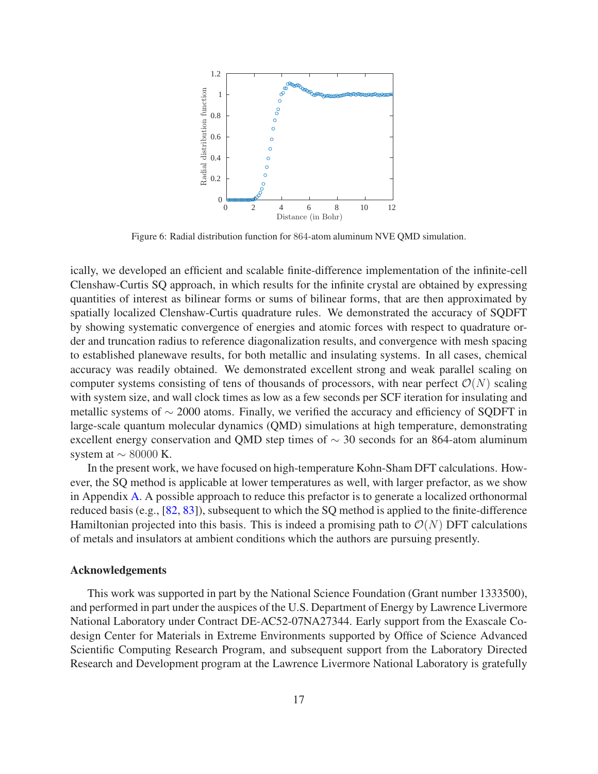

Figure 6: Radial distribution function for 864-atom aluminum NVE QMD simulation.

ically, we developed an efficient and scalable finite-difference implementation of the infinite-cell Clenshaw-Curtis SQ approach, in which results for the infinite crystal are obtained by expressing quantities of interest as bilinear forms or sums of bilinear forms, that are then approximated by spatially localized Clenshaw-Curtis quadrature rules. We demonstrated the accuracy of SQDFT by showing systematic convergence of energies and atomic forces with respect to quadrature order and truncation radius to reference diagonalization results, and convergence with mesh spacing to established planewave results, for both metallic and insulating systems. In all cases, chemical accuracy was readily obtained. We demonstrated excellent strong and weak parallel scaling on computer systems consisting of tens of thousands of processors, with near perfect  $\mathcal{O}(N)$  scaling with system size, and wall clock times as low as a few seconds per SCF iteration for insulating and metallic systems of  $\sim$  2000 atoms. Finally, we verified the accuracy and efficiency of SODFT in large-scale quantum molecular dynamics (QMD) simulations at high temperature, demonstrating excellent energy conservation and QMD step times of ∼ 30 seconds for an 864-atom aluminum system at  $\sim$  80000 K.

In the present work, we have focused on high-temperature Kohn-Sham DFT calculations. However, the SQ method is applicable at lower temperatures as well, with larger prefactor, as we show in Appendix A. A possible approach to reduce this prefactor is to generate a localized orthonormal reduced basis (e.g., [82, 83]), subsequent to which the SQ method is applied to the finite-difference Hamiltonian projected into this basis. This is indeed a promising path to  $\mathcal{O}(N)$  DFT calculations of metals and insulators at ambient conditions which the authors are pursuing presently.

# Acknowledgements

This work was supported in part by the National Science Foundation (Grant number 1333500), and performed in part under the auspices of the U.S. Department of Energy by Lawrence Livermore National Laboratory under Contract DE-AC52-07NA27344. Early support from the Exascale Codesign Center for Materials in Extreme Environments supported by Office of Science Advanced Scientific Computing Research Program, and subsequent support from the Laboratory Directed Research and Development program at the Lawrence Livermore National Laboratory is gratefully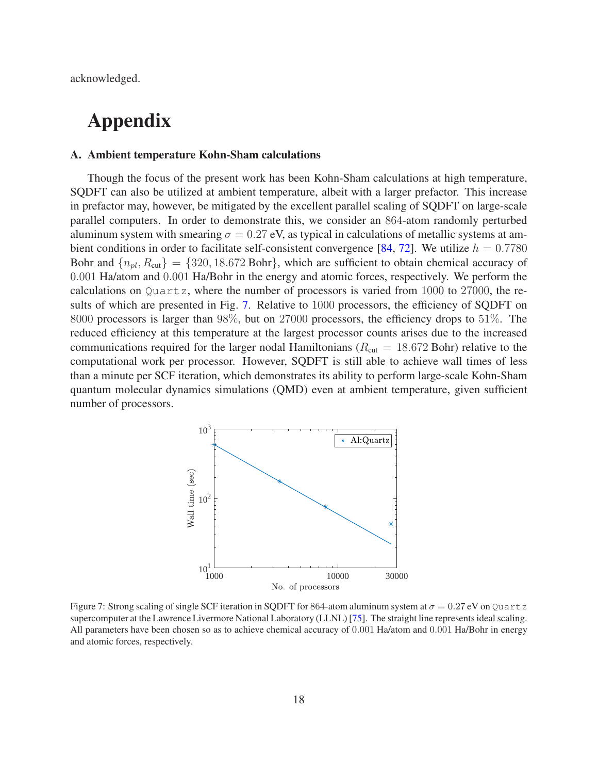acknowledged.

# Appendix

# A. Ambient temperature Kohn-Sham calculations

Though the focus of the present work has been Kohn-Sham calculations at high temperature, SQDFT can also be utilized at ambient temperature, albeit with a larger prefactor. This increase in prefactor may, however, be mitigated by the excellent parallel scaling of SQDFT on large-scale parallel computers. In order to demonstrate this, we consider an 864-atom randomly perturbed aluminum system with smearing  $\sigma = 0.27$  eV, as typical in calculations of metallic systems at ambient conditions in order to facilitate self-consistent convergence [84, 72]. We utilize  $h = 0.7780$ Bohr and  $\{n_{pl}, R_{cut}\} = \{320, 18.672 \text{ Bohr}\}\$ , which are sufficient to obtain chemical accuracy of 0.001 Ha/atom and 0.001 Ha/Bohr in the energy and atomic forces, respectively. We perform the calculations on  $Quartz$ , where the number of processors is varied from 1000 to 27000, the results of which are presented in Fig. 7. Relative to 1000 processors, the efficiency of SQDFT on 8000 processors is larger than 98%, but on 27000 processors, the efficiency drops to 51%. The reduced efficiency at this temperature at the largest processor counts arises due to the increased communications required for the larger nodal Hamiltonians ( $R_{\text{cut}} = 18.672$  Bohr) relative to the computational work per processor. However, SQDFT is still able to achieve wall times of less than a minute per SCF iteration, which demonstrates its ability to perform large-scale Kohn-Sham quantum molecular dynamics simulations (QMD) even at ambient temperature, given sufficient number of processors.



Figure 7: Strong scaling of single SCF iteration in SQDFT for 864-atom aluminum system at  $\sigma = 0.27$  eV on Quartz supercomputer at the Lawrence Livermore National Laboratory (LLNL) [75]. The straight line represents ideal scaling. All parameters have been chosen so as to achieve chemical accuracy of 0.001 Ha/atom and 0.001 Ha/Bohr in energy and atomic forces, respectively.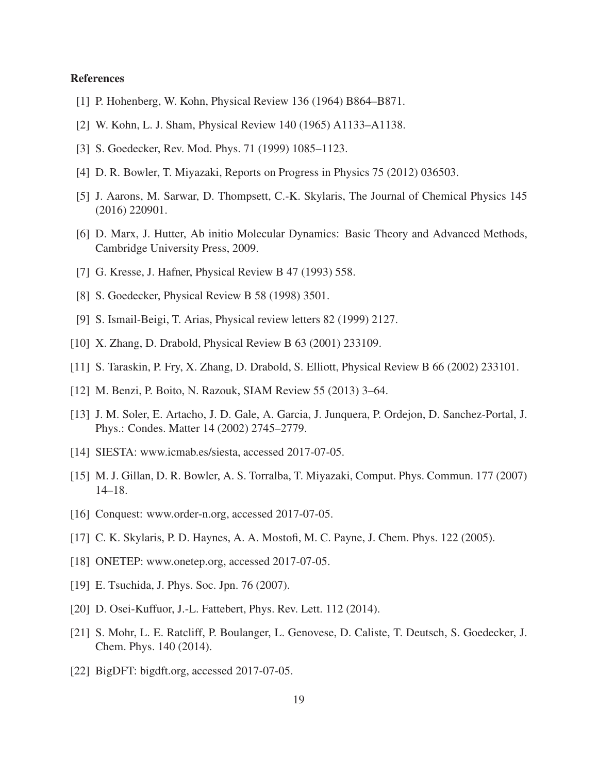# **References**

- [1] P. Hohenberg, W. Kohn, Physical Review 136 (1964) B864–B871.
- [2] W. Kohn, L. J. Sham, Physical Review 140 (1965) A1133–A1138.
- [3] S. Goedecker, Rev. Mod. Phys. 71 (1999) 1085–1123.
- [4] D. R. Bowler, T. Miyazaki, Reports on Progress in Physics 75 (2012) 036503.
- [5] J. Aarons, M. Sarwar, D. Thompsett, C.-K. Skylaris, The Journal of Chemical Physics 145 (2016) 220901.
- [6] D. Marx, J. Hutter, Ab initio Molecular Dynamics: Basic Theory and Advanced Methods, Cambridge University Press, 2009.
- [7] G. Kresse, J. Hafner, Physical Review B 47 (1993) 558.
- [8] S. Goedecker, Physical Review B 58 (1998) 3501.
- [9] S. Ismail-Beigi, T. Arias, Physical review letters 82 (1999) 2127.
- [10] X. Zhang, D. Drabold, Physical Review B 63 (2001) 233109.
- [11] S. Taraskin, P. Fry, X. Zhang, D. Drabold, S. Elliott, Physical Review B 66 (2002) 233101.
- [12] M. Benzi, P. Boito, N. Razouk, SIAM Review 55 (2013) 3–64.
- [13] J. M. Soler, E. Artacho, J. D. Gale, A. Garcia, J. Junquera, P. Ordejon, D. Sanchez-Portal, J. Phys.: Condes. Matter 14 (2002) 2745–2779.
- [14] SIESTA: www.icmab.es/siesta, accessed 2017-07-05.
- [15] M. J. Gillan, D. R. Bowler, A. S. Torralba, T. Miyazaki, Comput. Phys. Commun. 177 (2007) 14–18.
- [16] Conquest: www.order-n.org, accessed 2017-07-05.
- [17] C. K. Skylaris, P. D. Haynes, A. A. Mostofi, M. C. Payne, J. Chem. Phys. 122 (2005).
- [18] ONETEP: www.onetep.org, accessed 2017-07-05.
- [19] E. Tsuchida, J. Phys. Soc. Jpn. 76 (2007).
- [20] D. Osei-Kuffuor, J.-L. Fattebert, Phys. Rev. Lett. 112 (2014).
- [21] S. Mohr, L. E. Ratcliff, P. Boulanger, L. Genovese, D. Caliste, T. Deutsch, S. Goedecker, J. Chem. Phys. 140 (2014).
- [22] BigDFT: bigdft.org, accessed 2017-07-05.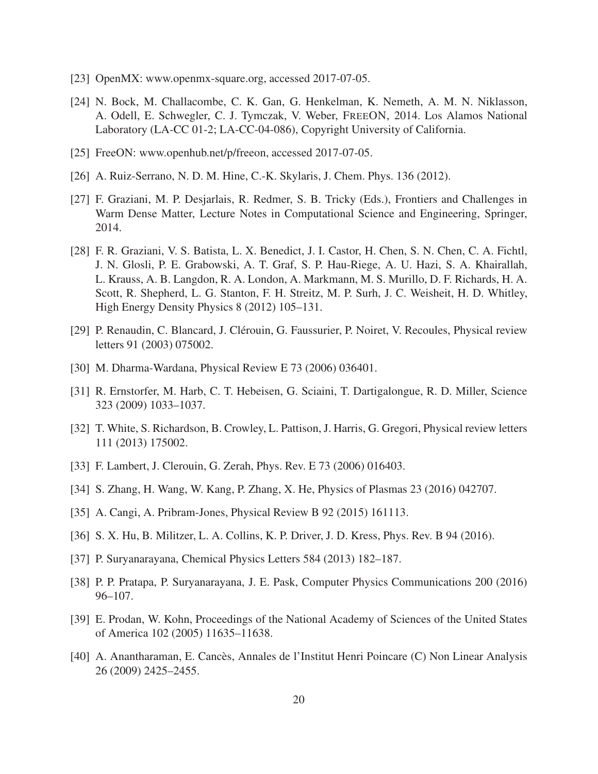- [23] OpenMX: www.openmx-square.org, accessed 2017-07-05.
- [24] N. Bock, M. Challacombe, C. K. Gan, G. Henkelman, K. Nemeth, A. M. N. Niklasson, A. Odell, E. Schwegler, C. J. Tymczak, V. Weber, FREEON, 2014. Los Alamos National Laboratory (LA-CC 01-2; LA-CC-04-086), Copyright University of California.
- [25] FreeON: www.openhub.net/p/freeon, accessed 2017-07-05.
- [26] A. Ruiz-Serrano, N. D. M. Hine, C.-K. Skylaris, J. Chem. Phys. 136 (2012).
- [27] F. Graziani, M. P. Desjarlais, R. Redmer, S. B. Tricky (Eds.), Frontiers and Challenges in Warm Dense Matter, Lecture Notes in Computational Science and Engineering, Springer, 2014.
- [28] F. R. Graziani, V. S. Batista, L. X. Benedict, J. I. Castor, H. Chen, S. N. Chen, C. A. Fichtl, J. N. Glosli, P. E. Grabowski, A. T. Graf, S. P. Hau-Riege, A. U. Hazi, S. A. Khairallah, L. Krauss, A. B. Langdon, R. A. London, A. Markmann, M. S. Murillo, D. F. Richards, H. A. Scott, R. Shepherd, L. G. Stanton, F. H. Streitz, M. P. Surh, J. C. Weisheit, H. D. Whitley, High Energy Density Physics 8 (2012) 105–131.
- [29] P. Renaudin, C. Blancard, J. Clérouin, G. Faussurier, P. Noiret, V. Recoules, Physical review letters 91 (2003) 075002.
- [30] M. Dharma-Wardana, Physical Review E 73 (2006) 036401.
- [31] R. Ernstorfer, M. Harb, C. T. Hebeisen, G. Sciaini, T. Dartigalongue, R. D. Miller, Science 323 (2009) 1033–1037.
- [32] T. White, S. Richardson, B. Crowley, L. Pattison, J. Harris, G. Gregori, Physical review letters 111 (2013) 175002.
- [33] F. Lambert, J. Clerouin, G. Zerah, Phys. Rev. E 73 (2006) 016403.
- [34] S. Zhang, H. Wang, W. Kang, P. Zhang, X. He, Physics of Plasmas 23 (2016) 042707.
- [35] A. Cangi, A. Pribram-Jones, Physical Review B 92 (2015) 161113.
- [36] S. X. Hu, B. Militzer, L. A. Collins, K. P. Driver, J. D. Kress, Phys. Rev. B 94 (2016).
- [37] P. Suryanarayana, Chemical Physics Letters 584 (2013) 182–187.
- [38] P. P. Pratapa, P. Suryanarayana, J. E. Pask, Computer Physics Communications 200 (2016) 96–107.
- [39] E. Prodan, W. Kohn, Proceedings of the National Academy of Sciences of the United States of America 102 (2005) 11635–11638.
- [40] A. Anantharaman, E. Cancès, Annales de l'Institut Henri Poincare (C) Non Linear Analysis 26 (2009) 2425–2455.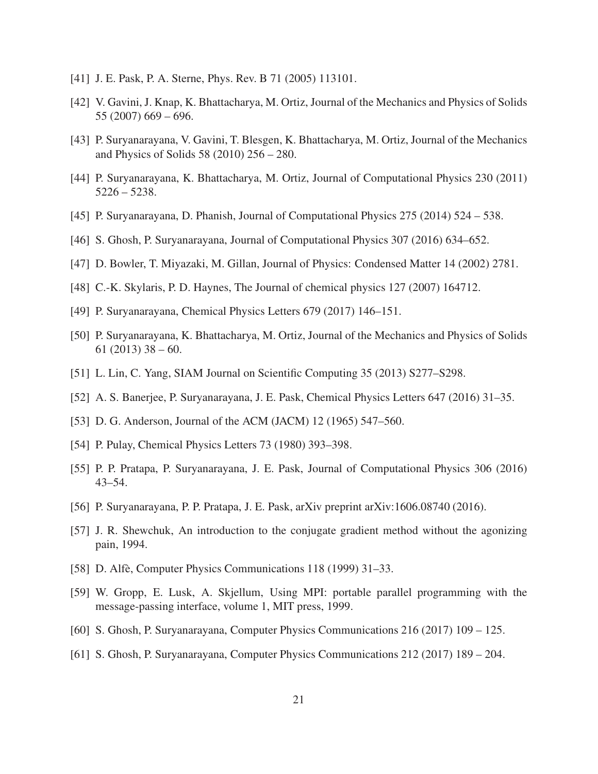- [41] J. E. Pask, P. A. Sterne, Phys. Rev. B 71 (2005) 113101.
- [42] V. Gavini, J. Knap, K. Bhattacharya, M. Ortiz, Journal of the Mechanics and Physics of Solids 55 (2007) 669 – 696.
- [43] P. Suryanarayana, V. Gavini, T. Blesgen, K. Bhattacharya, M. Ortiz, Journal of the Mechanics and Physics of Solids 58 (2010) 256 – 280.
- [44] P. Suryanarayana, K. Bhattacharya, M. Ortiz, Journal of Computational Physics 230 (2011) 5226 – 5238.
- [45] P. Suryanarayana, D. Phanish, Journal of Computational Physics 275 (2014) 524 538.
- [46] S. Ghosh, P. Suryanarayana, Journal of Computational Physics 307 (2016) 634–652.
- [47] D. Bowler, T. Miyazaki, M. Gillan, Journal of Physics: Condensed Matter 14 (2002) 2781.
- [48] C.-K. Skylaris, P. D. Haynes, The Journal of chemical physics 127 (2007) 164712.
- [49] P. Suryanarayana, Chemical Physics Letters 679 (2017) 146–151.
- [50] P. Suryanarayana, K. Bhattacharya, M. Ortiz, Journal of the Mechanics and Physics of Solids 61 (2013)  $38 - 60$ .
- [51] L. Lin, C. Yang, SIAM Journal on Scientific Computing 35 (2013) S277–S298.
- [52] A. S. Banerjee, P. Suryanarayana, J. E. Pask, Chemical Physics Letters 647 (2016) 31–35.
- [53] D. G. Anderson, Journal of the ACM (JACM) 12 (1965) 547–560.
- [54] P. Pulay, Chemical Physics Letters 73 (1980) 393–398.
- [55] P. P. Pratapa, P. Suryanarayana, J. E. Pask, Journal of Computational Physics 306 (2016) 43–54.
- [56] P. Suryanarayana, P. P. Pratapa, J. E. Pask, arXiv preprint arXiv:1606.08740 (2016).
- [57] J. R. Shewchuk, An introduction to the conjugate gradient method without the agonizing pain, 1994.
- [58] D. Alfè, Computer Physics Communications 118 (1999) 31–33.
- [59] W. Gropp, E. Lusk, A. Skjellum, Using MPI: portable parallel programming with the message-passing interface, volume 1, MIT press, 1999.
- [60] S. Ghosh, P. Suryanarayana, Computer Physics Communications 216 (2017) 109 125.
- [61] S. Ghosh, P. Suryanarayana, Computer Physics Communications 212 (2017) 189 204.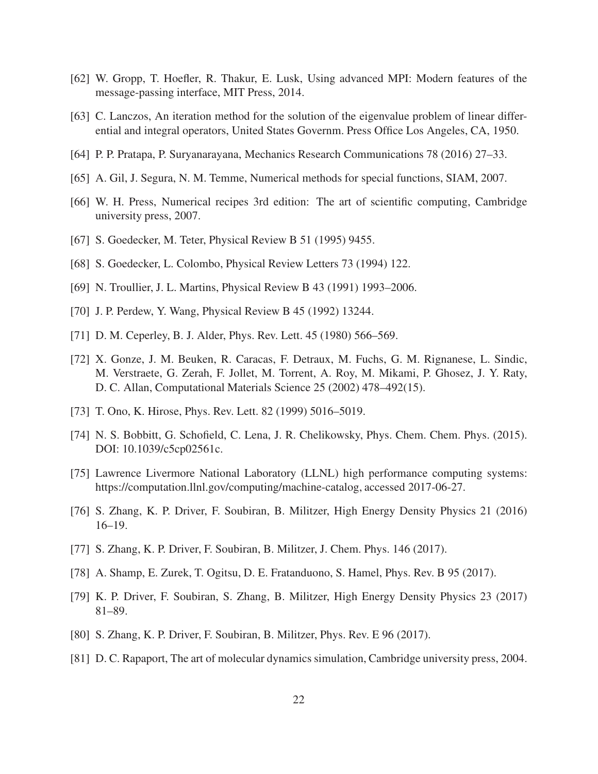- [62] W. Gropp, T. Hoefler, R. Thakur, E. Lusk, Using advanced MPI: Modern features of the message-passing interface, MIT Press, 2014.
- [63] C. Lanczos, An iteration method for the solution of the eigenvalue problem of linear differential and integral operators, United States Governm. Press Office Los Angeles, CA, 1950.
- [64] P. P. Pratapa, P. Suryanarayana, Mechanics Research Communications 78 (2016) 27–33.
- [65] A. Gil, J. Segura, N. M. Temme, Numerical methods for special functions, SIAM, 2007.
- [66] W. H. Press, Numerical recipes 3rd edition: The art of scientific computing, Cambridge university press, 2007.
- [67] S. Goedecker, M. Teter, Physical Review B 51 (1995) 9455.
- [68] S. Goedecker, L. Colombo, Physical Review Letters 73 (1994) 122.
- [69] N. Troullier, J. L. Martins, Physical Review B 43 (1991) 1993–2006.
- [70] J. P. Perdew, Y. Wang, Physical Review B 45 (1992) 13244.
- [71] D. M. Ceperley, B. J. Alder, Phys. Rev. Lett. 45 (1980) 566–569.
- [72] X. Gonze, J. M. Beuken, R. Caracas, F. Detraux, M. Fuchs, G. M. Rignanese, L. Sindic, M. Verstraete, G. Zerah, F. Jollet, M. Torrent, A. Roy, M. Mikami, P. Ghosez, J. Y. Raty, D. C. Allan, Computational Materials Science 25 (2002) 478–492(15).
- [73] T. Ono, K. Hirose, Phys. Rev. Lett. 82 (1999) 5016–5019.
- [74] N. S. Bobbitt, G. Schofield, C. Lena, J. R. Chelikowsky, Phys. Chem. Chem. Phys. (2015). DOI: 10.1039/c5cp02561c.
- [75] Lawrence Livermore National Laboratory (LLNL) high performance computing systems: https://computation.llnl.gov/computing/machine-catalog, accessed 2017-06-27.
- [76] S. Zhang, K. P. Driver, F. Soubiran, B. Militzer, High Energy Density Physics 21 (2016) 16–19.
- [77] S. Zhang, K. P. Driver, F. Soubiran, B. Militzer, J. Chem. Phys. 146 (2017).
- [78] A. Shamp, E. Zurek, T. Ogitsu, D. E. Fratanduono, S. Hamel, Phys. Rev. B 95 (2017).
- [79] K. P. Driver, F. Soubiran, S. Zhang, B. Militzer, High Energy Density Physics 23 (2017) 81–89.
- [80] S. Zhang, K. P. Driver, F. Soubiran, B. Militzer, Phys. Rev. E 96 (2017).
- [81] D. C. Rapaport, The art of molecular dynamics simulation, Cambridge university press, 2004.